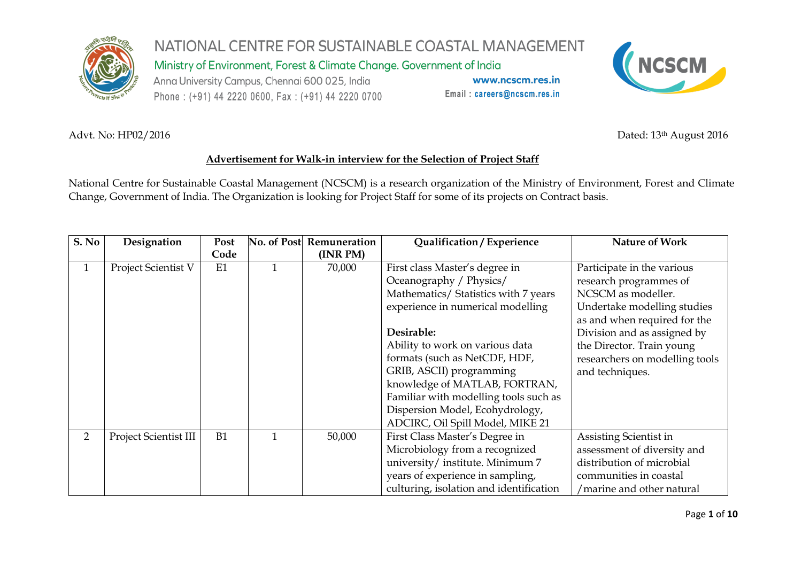

Ministry of Environment, Forest & Climate Change. Government of India

Anna University Campus, Chennai 600 025, India Phone: (+91) 44 2220 0600, Fax: (+91) 44 2220 0700

www.ncscm.res.in Email: careers@ncscm.res.in



Advt. No: HP02/2016 Dated: 13<sup>th</sup> August 2016

#### **Advertisement for Walk-in interview for the Selection of Project Staff**

National Centre for Sustainable Coastal Management (NCSCM) is a research organization of the Ministry of Environment, Forest and Climate Change, Government of India. The Organization is looking for Project Staff for some of its projects on Contract basis.

| S. No          | Designation           | Post | No. of Post | Remuneration | Qualification / Experience              | <b>Nature of Work</b>          |
|----------------|-----------------------|------|-------------|--------------|-----------------------------------------|--------------------------------|
|                |                       | Code |             | (INR PM)     |                                         |                                |
| 1              | Project Scientist V   | E1   |             | 70,000       | First class Master's degree in          | Participate in the various     |
|                |                       |      |             |              | Oceanography / Physics/                 | research programmes of         |
|                |                       |      |             |              | Mathematics/ Statistics with 7 years    | NCSCM as modeller.             |
|                |                       |      |             |              | experience in numerical modelling       | Undertake modelling studies    |
|                |                       |      |             |              |                                         | as and when required for the   |
|                |                       |      |             |              | Desirable:                              | Division and as assigned by    |
|                |                       |      |             |              | Ability to work on various data         | the Director. Train young      |
|                |                       |      |             |              | formats (such as NetCDF, HDF,           | researchers on modelling tools |
|                |                       |      |             |              | GRIB, ASCII) programming                | and techniques.                |
|                |                       |      |             |              | knowledge of MATLAB, FORTRAN,           |                                |
|                |                       |      |             |              | Familiar with modelling tools such as   |                                |
|                |                       |      |             |              | Dispersion Model, Ecohydrology,         |                                |
|                |                       |      |             |              | ADCIRC, Oil Spill Model, MIKE 21        |                                |
| $\overline{2}$ | Project Scientist III | B1   |             | 50,000       | First Class Master's Degree in          | Assisting Scientist in         |
|                |                       |      |             |              | Microbiology from a recognized          | assessment of diversity and    |
|                |                       |      |             |              | university/institute. Minimum 7         | distribution of microbial      |
|                |                       |      |             |              | years of experience in sampling,        | communities in coastal         |
|                |                       |      |             |              | culturing, isolation and identification | /marine and other natural      |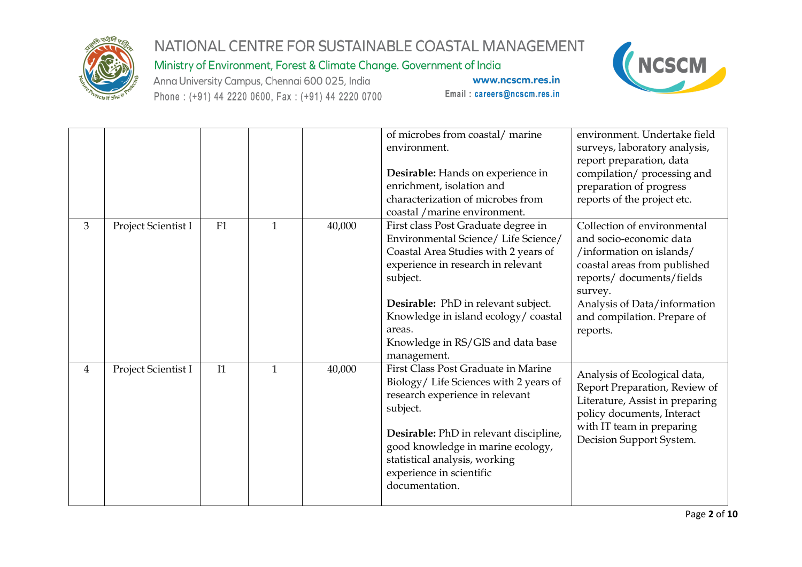

Ministry of Environment, Forest & Climate Change. Government of India

Anna University Campus, Chennai 600 025, India Phone: (+91) 44 2220 0600, Fax: (+91) 44 2220 0700



|                |                     |    |              |        | of microbes from coastal/marine<br>environment.<br>Desirable: Hands on experience in<br>enrichment, isolation and<br>characterization of microbes from<br>coastal / marine environment.                                                                                                                           | environment. Undertake field<br>surveys, laboratory analysis,<br>report preparation, data<br>compilation/ processing and<br>preparation of progress<br>reports of the project etc.                                                   |
|----------------|---------------------|----|--------------|--------|-------------------------------------------------------------------------------------------------------------------------------------------------------------------------------------------------------------------------------------------------------------------------------------------------------------------|--------------------------------------------------------------------------------------------------------------------------------------------------------------------------------------------------------------------------------------|
| 3              | Project Scientist I | F1 | 1            | 40,000 | First class Post Graduate degree in<br>Environmental Science/ Life Science/<br>Coastal Area Studies with 2 years of<br>experience in research in relevant<br>subject.<br>Desirable: PhD in relevant subject.<br>Knowledge in island ecology/coastal<br>areas.<br>Knowledge in RS/GIS and data base<br>management. | Collection of environmental<br>and socio-economic data<br>/information on islands/<br>coastal areas from published<br>reports/documents/fields<br>survey.<br>Analysis of Data/information<br>and compilation. Prepare of<br>reports. |
| $\overline{4}$ | Project Scientist I | I1 | $\mathbf{1}$ | 40,000 | <b>First Class Post Graduate in Marine</b><br>Biology/ Life Sciences with 2 years of<br>research experience in relevant<br>subject.<br>Desirable: PhD in relevant discipline,<br>good knowledge in marine ecology,<br>statistical analysis, working<br>experience in scientific<br>documentation.                 | Analysis of Ecological data,<br>Report Preparation, Review of<br>Literature, Assist in preparing<br>policy documents, Interact<br>with IT team in preparing<br>Decision Support System.                                              |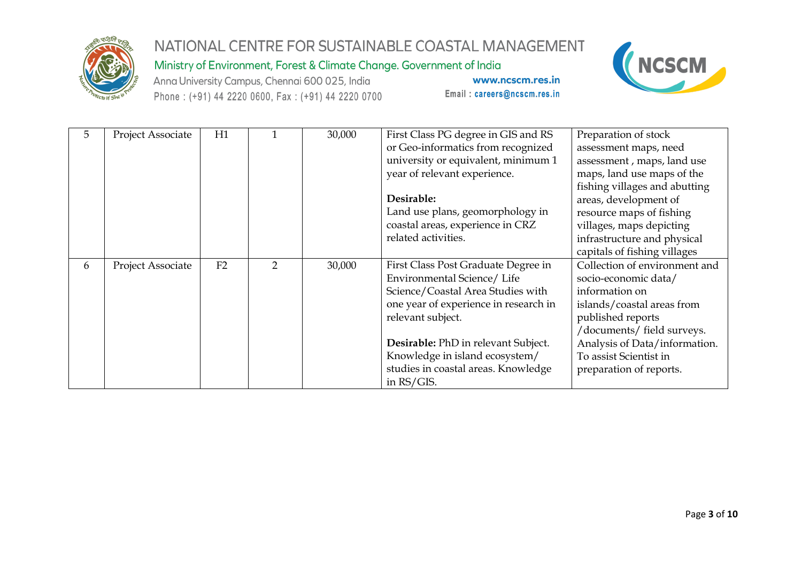

Ministry of Environment, Forest & Climate Change. Government of India

Anna University Campus, Chennai 600 025, India Phone: (+91) 44 2220 0600, Fax: (+91) 44 2220 0700



| 5 | Project Associate | H1 |   | 30,000 | First Class PG degree in GIS and RS   | Preparation of stock          |
|---|-------------------|----|---|--------|---------------------------------------|-------------------------------|
|   |                   |    |   |        | or Geo-informatics from recognized    | assessment maps, need         |
|   |                   |    |   |        | university or equivalent, minimum 1   | assessment, maps, land use    |
|   |                   |    |   |        | year of relevant experience.          | maps, land use maps of the    |
|   |                   |    |   |        |                                       | fishing villages and abutting |
|   |                   |    |   |        | Desirable:                            | areas, development of         |
|   |                   |    |   |        | Land use plans, geomorphology in      | resource maps of fishing      |
|   |                   |    |   |        | coastal areas, experience in CRZ      | villages, maps depicting      |
|   |                   |    |   |        | related activities.                   | infrastructure and physical   |
|   |                   |    |   |        |                                       | capitals of fishing villages  |
| 6 | Project Associate | F2 | 2 | 30,000 | First Class Post Graduate Degree in   | Collection of environment and |
|   |                   |    |   |        | Environmental Science/ Life           | socio-economic data/          |
|   |                   |    |   |        | Science/Coastal Area Studies with     | information on                |
|   |                   |    |   |        | one year of experience in research in | islands/coastal areas from    |
|   |                   |    |   |        | relevant subject.                     | published reports             |
|   |                   |    |   |        |                                       | /documents/ field surveys.    |
|   |                   |    |   |        | Desirable: PhD in relevant Subject.   | Analysis of Data/information. |
|   |                   |    |   |        | Knowledge in island ecosystem/        | To assist Scientist in        |
|   |                   |    |   |        | studies in coastal areas. Knowledge   | preparation of reports.       |
|   |                   |    |   |        | in RS/GIS.                            |                               |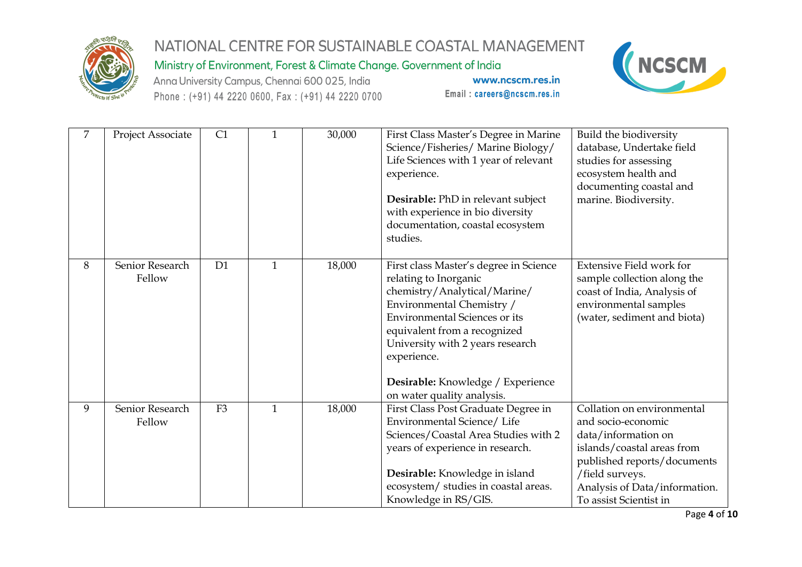

Ministry of Environment, Forest & Climate Change. Government of India

Anna University Campus, Chennai 600 025, India Phone: (+91) 44 2220 0600, Fax: (+91) 44 2220 0700

www.ncscm.res.in Email: careers@ncscm.res.in



| 7 | Project Associate         | C1             | 1            | 30,000 | First Class Master's Degree in Marine<br>Science/Fisheries/Marine Biology/<br>Life Sciences with 1 year of relevant<br>experience.<br>Desirable: PhD in relevant subject<br>with experience in bio diversity<br>documentation, coastal ecosystem<br>studies.                                                               | Build the biodiversity<br>database, Undertake field<br>studies for assessing<br>ecosystem health and<br>documenting coastal and<br>marine. Biodiversity.                                                           |
|---|---------------------------|----------------|--------------|--------|----------------------------------------------------------------------------------------------------------------------------------------------------------------------------------------------------------------------------------------------------------------------------------------------------------------------------|--------------------------------------------------------------------------------------------------------------------------------------------------------------------------------------------------------------------|
| 8 | Senior Research<br>Fellow | D <sub>1</sub> | $\mathbf{1}$ | 18,000 | First class Master's degree in Science<br>relating to Inorganic<br>chemistry/Analytical/Marine/<br>Environmental Chemistry /<br><b>Environmental Sciences or its</b><br>equivalent from a recognized<br>University with 2 years research<br>experience.<br>Desirable: Knowledge / Experience<br>on water quality analysis. | <b>Extensive Field work for</b><br>sample collection along the<br>coast of India, Analysis of<br>environmental samples<br>(water, sediment and biota)                                                              |
| 9 | Senior Research<br>Fellow | F <sub>3</sub> | 1            | 18,000 | First Class Post Graduate Degree in<br>Environmental Science/ Life<br>Sciences/Coastal Area Studies with 2<br>years of experience in research.<br>Desirable: Knowledge in island<br>ecosystem/ studies in coastal areas.<br>Knowledge in RS/GIS.                                                                           | Collation on environmental<br>and socio-economic<br>data/information on<br>islands/coastal areas from<br>published reports/documents<br>/field surveys.<br>Analysis of Data/information.<br>To assist Scientist in |

Page 4 of 10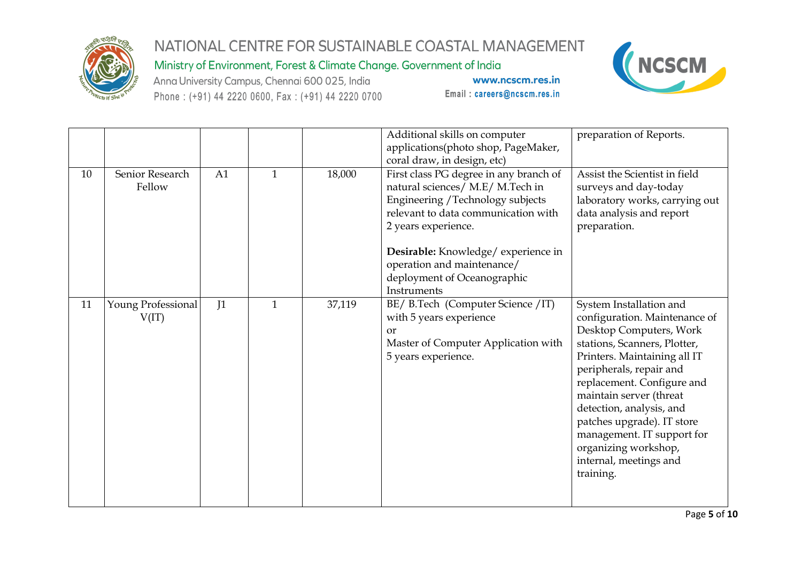

Ministry of Environment, Forest & Climate Change. Government of India

Anna University Campus, Chennai 600 025, India Phone: (+91) 44 2220 0600, Fax: (+91) 44 2220 0700



|    |                             |    |              |        | Additional skills on computer<br>applications(photo shop, PageMaker,<br>coral draw, in design, etc)                                                                                                                                                                                             | preparation of Reports.                                                                                                                                                                                                                                                                                                                                                                        |
|----|-----------------------------|----|--------------|--------|-------------------------------------------------------------------------------------------------------------------------------------------------------------------------------------------------------------------------------------------------------------------------------------------------|------------------------------------------------------------------------------------------------------------------------------------------------------------------------------------------------------------------------------------------------------------------------------------------------------------------------------------------------------------------------------------------------|
| 10 | Senior Research<br>Fellow   | A1 | $\mathbf{1}$ | 18,000 | First class PG degree in any branch of<br>natural sciences/ M.E/ M.Tech in<br>Engineering / Technology subjects<br>relevant to data communication with<br>2 years experience.<br>Desirable: Knowledge/experience in<br>operation and maintenance/<br>deployment of Oceanographic<br>Instruments | Assist the Scientist in field<br>surveys and day-today<br>laboratory works, carrying out<br>data analysis and report<br>preparation.                                                                                                                                                                                                                                                           |
| 11 | Young Professional<br>V(IT) | J1 | $\mathbf{1}$ | 37,119 | BE/ B.Tech (Computer Science / IT)<br>with 5 years experience<br><b>or</b><br>Master of Computer Application with<br>5 years experience.                                                                                                                                                        | System Installation and<br>configuration. Maintenance of<br>Desktop Computers, Work<br>stations, Scanners, Plotter,<br>Printers. Maintaining all IT<br>peripherals, repair and<br>replacement. Configure and<br>maintain server (threat<br>detection, analysis, and<br>patches upgrade). IT store<br>management. IT support for<br>organizing workshop,<br>internal, meetings and<br>training. |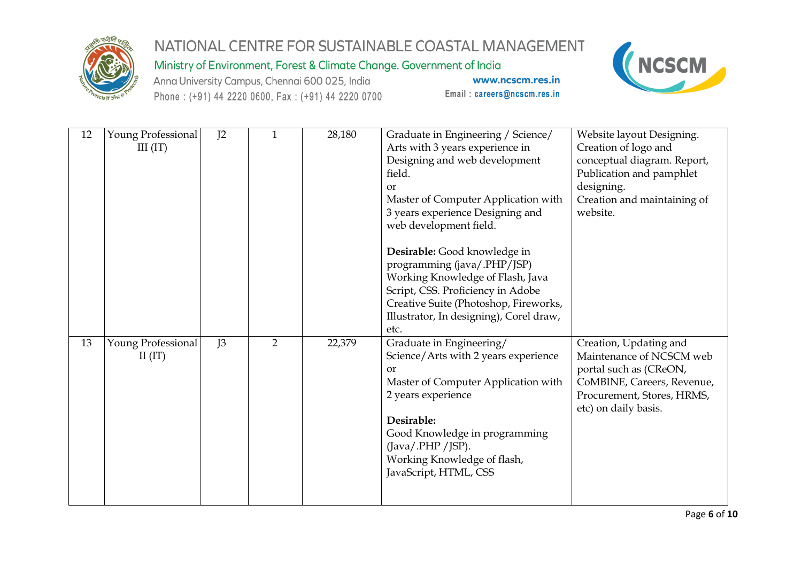

Ministry of Environment, Forest & Climate Change. Government of India

Anna University Campus, Chennai 600 025, India Phone: (+91) 44 2220 0600, Fax: (+91) 44 2220 0700



| 12 | Young Professional<br>III (IT)  | I <sub>2</sub> | 1              | 28,180 | Graduate in Engineering / Science/<br>Arts with 3 years experience in<br>Designing and web development<br>field.<br><b>or</b><br>Master of Computer Application with<br>3 years experience Designing and<br>web development field.                                    | Website layout Designing.<br>Creation of logo and<br>conceptual diagram. Report,<br>Publication and pamphlet<br>designing.<br>Creation and maintaining of<br>website. |
|----|---------------------------------|----------------|----------------|--------|-----------------------------------------------------------------------------------------------------------------------------------------------------------------------------------------------------------------------------------------------------------------------|-----------------------------------------------------------------------------------------------------------------------------------------------------------------------|
|    |                                 |                |                |        | Desirable: Good knowledge in<br>programming (java/.PHP/JSP)<br>Working Knowledge of Flash, Java<br>Script, CSS. Proficiency in Adobe<br>Creative Suite (Photoshop, Fireworks,<br>Illustrator, In designing), Corel draw,<br>etc.                                      |                                                                                                                                                                       |
| 13 | Young Professional<br>II $(IT)$ | J3             | $\overline{2}$ | 22,379 | Graduate in Engineering/<br>Science/Arts with 2 years experience<br><b>or</b><br>Master of Computer Application with<br>2 years experience<br>Desirable:<br>Good Knowledge in programming<br>(Java/.PHP/JSP).<br>Working Knowledge of flash,<br>JavaScript, HTML, CSS | Creation, Updating and<br>Maintenance of NCSCM web<br>portal such as (CReON,<br>CoMBINE, Careers, Revenue,<br>Procurement, Stores, HRMS,<br>etc) on daily basis.      |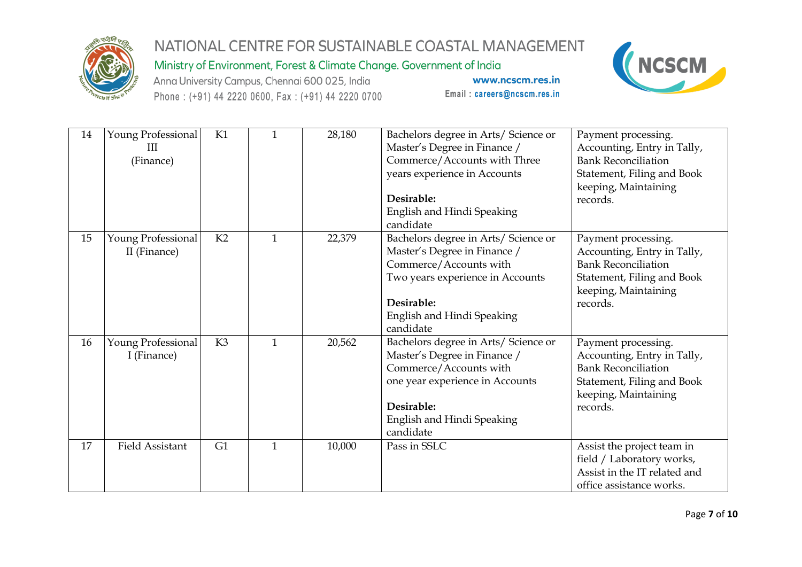

Ministry of Environment, Forest & Climate Change. Government of India

Anna University Campus, Chennai 600 025, India Phone: (+91) 44 2220 0600, Fax: (+91) 44 2220 0700



| 14 | Young Professional<br>Ш<br>(Finance) | K1             | 1            | 28,180 | Bachelors degree in Arts/ Science or<br>Master's Degree in Finance /<br>Commerce/Accounts with Three<br>years experience in Accounts<br>Desirable:<br>English and Hindi Speaking<br>candidate | Payment processing.<br>Accounting, Entry in Tally,<br><b>Bank Reconciliation</b><br>Statement, Filing and Book<br>keeping, Maintaining<br>records. |
|----|--------------------------------------|----------------|--------------|--------|-----------------------------------------------------------------------------------------------------------------------------------------------------------------------------------------------|----------------------------------------------------------------------------------------------------------------------------------------------------|
| 15 | Young Professional<br>II (Finance)   | K2             | $\mathbf{1}$ | 22,379 | Bachelors degree in Arts/ Science or<br>Master's Degree in Finance /<br>Commerce/Accounts with<br>Two years experience in Accounts<br>Desirable:<br>English and Hindi Speaking<br>candidate   | Payment processing.<br>Accounting, Entry in Tally,<br><b>Bank Reconciliation</b><br>Statement, Filing and Book<br>keeping, Maintaining<br>records. |
| 16 | Young Professional<br>I (Finance)    | K <sub>3</sub> | $\mathbf{1}$ | 20,562 | Bachelors degree in Arts/ Science or<br>Master's Degree in Finance /<br>Commerce/Accounts with<br>one year experience in Accounts<br>Desirable:<br>English and Hindi Speaking<br>candidate    | Payment processing.<br>Accounting, Entry in Tally,<br><b>Bank Reconciliation</b><br>Statement, Filing and Book<br>keeping, Maintaining<br>records. |
| 17 | <b>Field Assistant</b>               | G1             | 1            | 10,000 | Pass in SSLC                                                                                                                                                                                  | Assist the project team in<br>field / Laboratory works,<br>Assist in the IT related and<br>office assistance works.                                |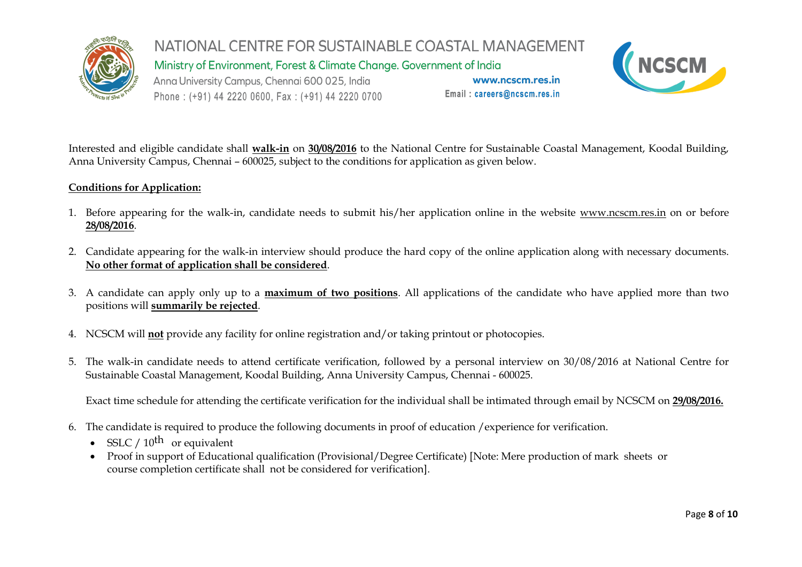

Ministry of Environment, Forest & Climate Change. Government of India

Anna University Campus, Chennai 600 025, India Phone: (+91) 44 2220 0600, Fax: (+91) 44 2220 0700

www.ncscm.res.in Email: careers@ncscm.res.in



Interested and eligible candidate shall **walk-in** on **30/08/2016** to the National Centre for Sustainable Coastal Management, Koodal Building, Anna University Campus, Chennai – 600025, subject to the conditions for application as given below.

#### **Conditions for Application:**

- 1. Before appearing for the walk-in, candidate needs to submit his/her application online in the website [www.ncscm.res.in](http://www.ncscm.res.in/) on or before **28/08/2016**.
- 2. Candidate appearing for the walk-in interview should produce the hard copy of the online application along with necessary documents. **No other format of application shall be considered**.
- 3. A candidate can apply only up to a **maximum of two positions**. All applications of the candidate who have applied more than two positions will **summarily be rejected**.
- 4. NCSCM will **not** provide any facility for online registration and/or taking printout or photocopies.
- 5. The walk-in candidate needs to attend certificate verification, followed by a personal interview on 30/08/2016 at National Centre for Sustainable Coastal Management, Koodal Building, Anna University Campus, Chennai - 600025.

Exact time schedule for attending the certificate verification for the individual shall be intimated through email by NCSCM on **29/08/2016.**

- 6. The candidate is required to produce the following documents in proof of education /experience for verification.
	- SSLC  $/ 10^{th}$  or equivalent
	- Proof in support of Educational qualification (Provisional/Degree Certificate) [Note: Mere production of mark sheets or course completion certificate shall not be considered for verification].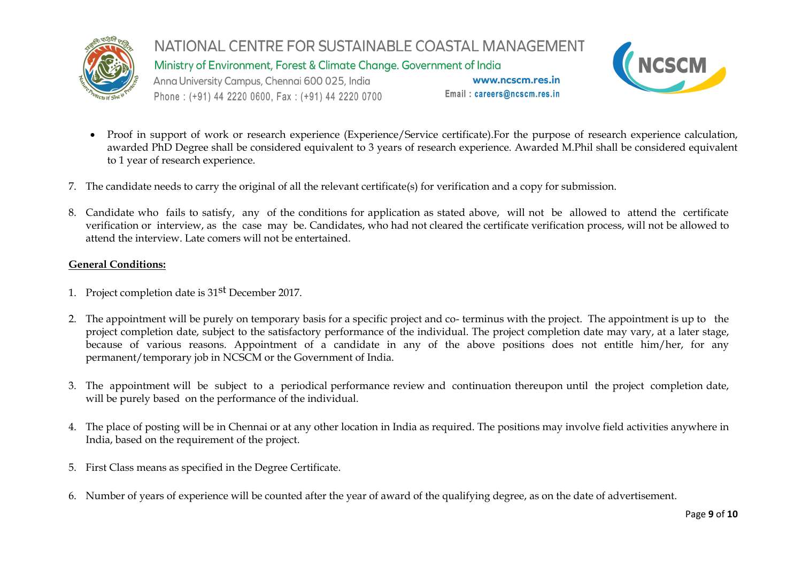

NATIONAL CENTRE FOR SUSTAINABLE COASTAL MANAGEMENT Ministry of Environment, Forest & Climate Change. Government of India Anna University Campus, Chennai 600 025, India www.ncscm.res.in Email: careers@ncscm.res.in Phone: (+91) 44 2220 0600, Fax: (+91) 44 2220 0700



- Proof in support of work or research experience (Experience/Service certificate). For the purpose of research experience calculation, awarded PhD Degree shall be considered equivalent to 3 years of research experience. Awarded M.Phil shall be considered equivalent to 1 year of research experience.
- 7. The candidate needs to carry the original of all the relevant certificate(s) for verification and a copy for submission.
- 8. Candidate who fails to satisfy, any of the conditions for application as stated above, will not be allowed to attend the certificate verification or interview, as the case may be. Candidates, who had not cleared the certificate verification process, will not be allowed to attend the interview. Late comers will not be entertained.

#### **General Conditions:**

- 1. Project completion date is 31st December 2017.
- 2. The appointment will be purely on temporary basis for a specific project and co- terminus with the project. The appointment is up to the project completion date, subject to the satisfactory performance of the individual. The project completion date may vary, at a later stage, because of various reasons. Appointment of a candidate in any of the above positions does not entitle him/her, for any permanent/temporary job in NCSCM or the Government of India.
- 3. The appointment will be subject to a periodical performance review and continuation thereupon until the project completion date, will be purely based on the performance of the individual.
- 4. The place of posting will be in Chennai or at any other location in India as required. The positions may involve field activities anywhere in India, based on the requirement of the project.
- 5. First Class means as specified in the Degree Certificate.
- 6. Number of years of experience will be counted after the year of award of the qualifying degree, as on the date of advertisement.